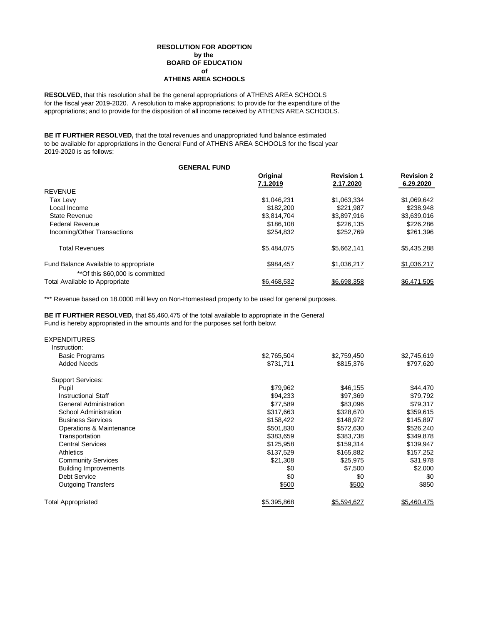### **ATHENS AREA SCHOOLS RESOLUTION FOR ADOPTION by the BOARD OF EDUCATION of**

**RESOLVED,** that this resolution shall be the general appropriations of ATHENS AREA SCHOOLS for the fiscal year 2019-2020. A resolution to make appropriations; to provide for the expenditure of the appropriations; and to provide for the disposition of all income received by ATHENS AREA SCHOOLS.

**BE IT FURTHER RESOLVED,** that the total revenues and unappropriated fund balance estimated to be available for appropriations in the General Fund of ATHENS AREA SCHOOLS for the fiscal year 2019-2020 is as follows:

| <b>GENERAL FUND</b>                   |             |                   |                   |
|---------------------------------------|-------------|-------------------|-------------------|
|                                       | Original    | <b>Revision 1</b> | <b>Revision 2</b> |
|                                       | 7.1.2019    | 2.17.2020         | 6.29.2020         |
| <b>REVENUE</b>                        |             |                   |                   |
| Tax Levy                              | \$1,046,231 | \$1,063,334       | \$1,069,642       |
| Local Income                          | \$182,200   | \$221.987         | \$238,948         |
| <b>State Revenue</b>                  | \$3,814,704 | \$3,897,916       | \$3,639,016       |
| <b>Federal Revenue</b>                | \$186.108   | \$226.135         | \$226,286         |
| Incoming/Other Transactions           | \$254.832   | \$252,769         | \$261,396         |
| <b>Total Revenues</b>                 | \$5,484,075 | \$5,662,141       | \$5,435,288       |
| Fund Balance Available to appropriate | \$984,457   | \$1,036,217       | \$1,036,217       |
| **Of this \$60,000 is committed       |             |                   |                   |
| <b>Total Available to Appropriate</b> | \$6.468.532 | \$6,698,358       | \$6,471,505       |

\*\*\* Revenue based on 18.0000 mill levy on Non-Homestead property to be used for general purposes.

**BE IT FURTHER RESOLVED,** that \$5,460,475 of the total available to appropriate in the General Fund is hereby appropriated in the amounts and for the purposes set forth below:

| <b>EXPENDITURES</b>           |             |             |             |
|-------------------------------|-------------|-------------|-------------|
| Instruction:                  |             |             |             |
| <b>Basic Programs</b>         | \$2,765,504 | \$2,759,450 | \$2,745,619 |
| <b>Added Needs</b>            | \$731,711   | \$815,376   | \$797,620   |
| <b>Support Services:</b>      |             |             |             |
| Pupil                         | \$79,962    | \$46,155    | \$44,470    |
| <b>Instructional Staff</b>    | \$94,233    | \$97,369    | \$79,792    |
| <b>General Administration</b> | \$77,589    | \$83,096    | \$79,317    |
| School Administration         | \$317,663   | \$328,670   | \$359,615   |
| <b>Business Services</b>      | \$158,422   | \$148,972   | \$145,897   |
| Operations & Maintenance      | \$501,830   | \$572,630   | \$526,240   |
| Transportation                | \$383,659   | \$383,738   | \$349,878   |
| <b>Central Services</b>       | \$125,958   | \$159,314   | \$139,947   |
| <b>Athletics</b>              | \$137,529   | \$165,882   | \$157,252   |
| <b>Community Services</b>     | \$21,308    | \$25,975    | \$31,978    |
| <b>Building Improvements</b>  | \$0         | \$7,500     | \$2,000     |
| Debt Service                  | \$0         | \$0         | \$0         |
| <b>Outgoing Transfers</b>     | \$500       | \$500       | \$850       |
| <b>Total Appropriated</b>     | \$5,395,868 | \$5,594,627 | \$5,460,475 |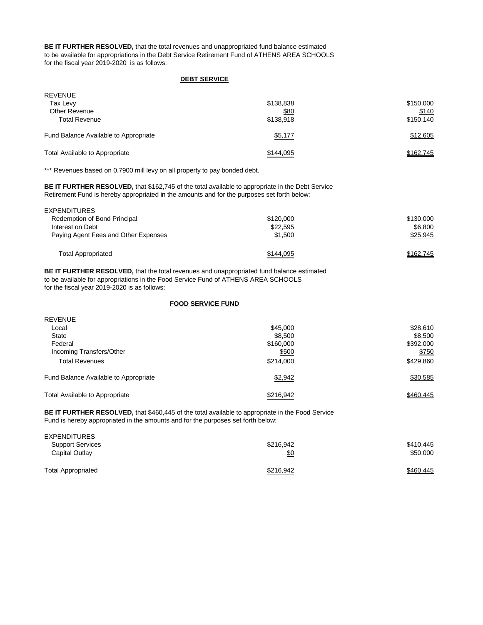**BE IT FURTHER RESOLVED,** that the total revenues and unappropriated fund balance estimated to be available for appropriations in the Debt Service Retirement Fund of ATHENS AREA SCHOOLS for the fiscal year 2019-2020 is as follows:

#### **DEBT SERVICE**

| <b>REVENUE</b>                        |           |           |
|---------------------------------------|-----------|-----------|
| Tax Levy                              | \$138,838 | \$150,000 |
| Other Revenue                         | \$80      | \$140     |
| <b>Total Revenue</b>                  | \$138,918 | \$150,140 |
| Fund Balance Available to Appropriate | \$5,177   | \$12,605  |
| <b>Total Available to Appropriate</b> | \$144,095 | \$162.745 |

\*\*\* Revenues based on 0.7900 mill levy on all property to pay bonded debt.

**BE IT FURTHER RESOLVED,** that \$162,745 of the total available to appropriate in the Debt Service Retirement Fund is hereby appropriated in the amounts and for the purposes set forth below:

| EXPENDITURES                         |           |           |
|--------------------------------------|-----------|-----------|
| Redemption of Bond Principal         | \$120,000 | \$130,000 |
| Interest on Debt                     | \$22,595  | \$6,800   |
| Paying Agent Fees and Other Expenses | \$1,500   | \$25,945  |
| <b>Total Appropriated</b>            | \$144,095 | \$162,745 |

**BE IT FURTHER RESOLVED,** that the total revenues and unappropriated fund balance estimated to be available for appropriations in the Food Service Fund of ATHENS AREA SCHOOLS for the fiscal year 2019-2020 is as follows:

### **FOOD SERVICE FUND**

| <b>REVENUE</b>                        |           |           |
|---------------------------------------|-----------|-----------|
| Local                                 | \$45,000  | \$28,610  |
| State                                 | \$8,500   | \$8,500   |
| Federal                               | \$160,000 | \$392,000 |
| Incoming Transfers/Other              | \$500     | \$750     |
| <b>Total Revenues</b>                 | \$214,000 | \$429,860 |
| Fund Balance Available to Appropriate | \$2,942   | \$30,585  |
| Total Available to Appropriate        | \$216.942 | \$460,445 |

**BE IT FURTHER RESOLVED,** that \$460,445 of the total available to appropriate in the Food Service Fund is hereby appropriated in the amounts and for the purposes set forth below:

| <b>EXPENDITURES</b>       |            |           |
|---------------------------|------------|-----------|
| <b>Support Services</b>   | \$216.942  | \$410,445 |
| Capital Outlay            | <u>\$0</u> | \$50,000  |
| <b>Total Appropriated</b> | \$216,942  | \$460,445 |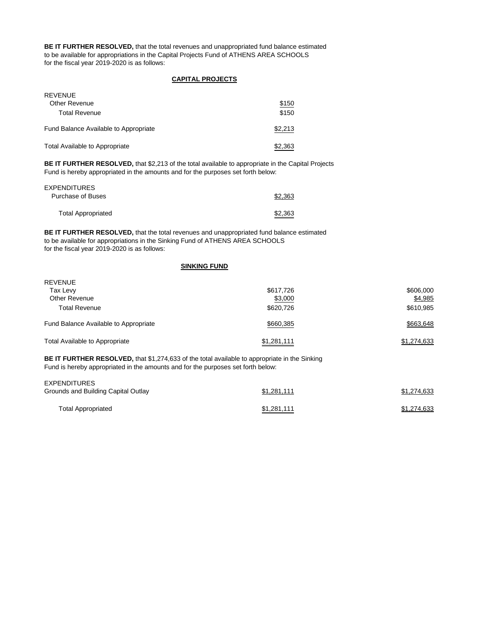**BE IT FURTHER RESOLVED,** that the total revenues and unappropriated fund balance estimated to be available for appropriations in the Capital Projects Fund of ATHENS AREA SCHOOLS for the fiscal year 2019-2020 is as follows:

# **CAPITAL PROJECTS**

| <b>REVENUE</b>                        |         |
|---------------------------------------|---------|
| Other Revenue                         | \$150   |
| <b>Total Revenue</b>                  | \$150   |
| Fund Balance Available to Appropriate | \$2,213 |
| Total Available to Appropriate        | \$2,363 |

**BE IT FURTHER RESOLVED,** that \$2,213 of the total available to appropriate in the Capital Projects Fund is hereby appropriated in the amounts and for the purposes set forth below:

| <b>EXPENDITURES</b>       |         |
|---------------------------|---------|
| Purchase of Buses         | \$2,363 |
| <b>Total Appropriated</b> | \$2,363 |

**BE IT FURTHER RESOLVED,** that the total revenues and unappropriated fund balance estimated to be available for appropriations in the Sinking Fund of ATHENS AREA SCHOOLS for the fiscal year 2019-2020 is as follows:

### **SINKING FUND**

| <b>REVENUE</b>                        |             |             |
|---------------------------------------|-------------|-------------|
| Tax Levy                              | \$617,726   | \$606,000   |
| Other Revenue                         | \$3,000     | \$4,985     |
| <b>Total Revenue</b>                  | \$620,726   | \$610,985   |
| Fund Balance Available to Appropriate | \$660,385   | \$663,648   |
| <b>Total Available to Appropriate</b> | \$1,281,111 | \$1,274,633 |
|                                       |             |             |

**BE IT FURTHER RESOLVED,** that \$1,274,633 of the total available to appropriate in the Sinking Fund is hereby appropriated in the amounts and for the purposes set forth below:

| EXPENDITURES<br>Grounds and Building Capital Outlay | \$1,281,111 | \$1,274,633 |
|-----------------------------------------------------|-------------|-------------|
| <b>Total Appropriated</b>                           | \$1,281,111 | \$1,274,633 |